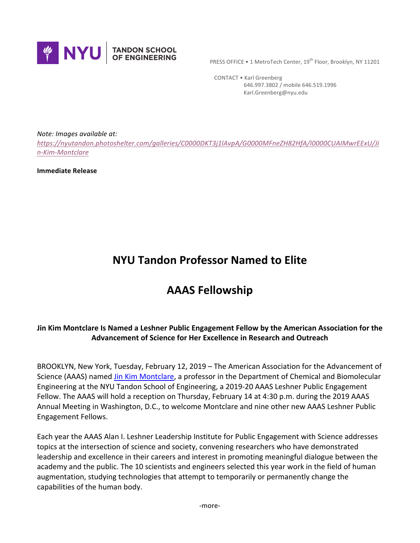

**PRESS OFFICE • 1 MetroTech Center, 19th Floor, Brooklyn, NY 11201** 

 CONTACT • Karl Greenberg 646.997.3802 / mobile 646.519.1996 Karl.Greenberg@nyu.edu

*Note: Images available at:*

*https://nyutandon.photoshelter.com/galleries/C0000DKT3j1lAvpA/G0000MFneZH82HfA/I0000CUAIMwrEExU/Ji n-Kim-Montclare*

**Immediate Release** 

## **NYU Tandon Professor Named to Elite**

## **AAAS Fellowship**

## Jin Kim Montclare Is Named a Leshner Public Engagement Fellow by the American Association for the **Advancement of Science for Her Excellence in Research and Outreach**

BROOKLYN, New York, Tuesday, February 12, 2019 – The American Association for the Advancement of Science (AAAS) named *Jin Kim Montclare*, a professor in the Department of Chemical and Biomolecular Engineering at the NYU Tandon School of Engineering, a 2019-20 AAAS Leshner Public Engagement Fellow. The AAAS will hold a reception on Thursday, February 14 at 4:30 p.m. during the 2019 AAAS Annual Meeting in Washington, D.C., to welcome Montclare and nine other new AAAS Leshner Public Engagement Fellows.

Each year the AAAS Alan I. Leshner Leadership Institute for Public Engagement with Science addresses topics at the intersection of science and society, convening researchers who have demonstrated leadership and excellence in their careers and interest in promoting meaningful dialogue between the academy and the public. The 10 scientists and engineers selected this year work in the field of human augmentation, studying technologies that attempt to temporarily or permanently change the capabilities of the human body.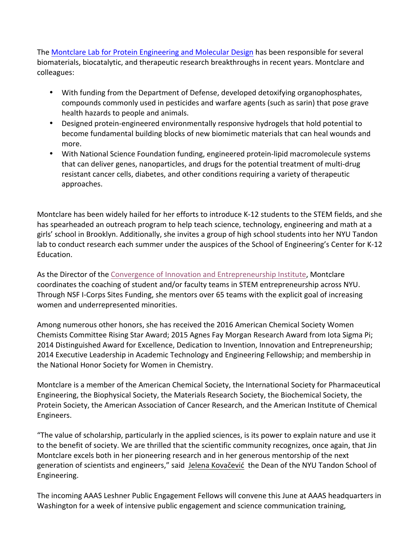The Montclare Lab for Protein Engineering and Molecular Design has been responsible for several biomaterials, biocatalytic, and therapeutic research breakthroughs in recent years. Montclare and colleagues:

- With funding from the Department of Defense, developed detoxifying organophosphates, compounds commonly used in pesticides and warfare agents (such as sarin) that pose grave health hazards to people and animals.
- Designed protein-engineered environmentally responsive hydrogels that hold potential to become fundamental building blocks of new biomimetic materials that can heal wounds and more.
- With National Science Foundation funding, engineered protein-lipid macromolecule systems that can deliver genes, nanoparticles, and drugs for the potential treatment of multi-drug resistant cancer cells, diabetes, and other conditions requiring a variety of therapeutic approaches.

Montclare has been widely hailed for her efforts to introduce K-12 students to the STEM fields, and she has spearheaded an outreach program to help teach science, technology, engineering and math at a girls' school in Brooklyn. Additionally, she invites a group of high school students into her NYU Tandon lab to conduct research each summer under the auspices of the School of Engineering's Center for K-12 Education.

As the Director of the Convergence of Innovation and Entrepreneurship Institute, Montclare coordinates the coaching of student and/or faculty teams in STEM entrepreneurship across NYU. Through NSF I-Corps Sites Funding, she mentors over 65 teams with the explicit goal of increasing women and underrepresented minorities.

Among numerous other honors, she has received the 2016 American Chemical Society Women Chemists Committee Rising Star Award; 2015 Agnes Fay Morgan Research Award from lota Sigma Pi; 2014 Distinguished Award for Excellence, Dedication to Invention, Innovation and Entrepreneurship; 2014 Executive Leadership in Academic Technology and Engineering Fellowship; and membership in the National Honor Society for Women in Chemistry.

Montclare is a member of the American Chemical Society, the International Society for Pharmaceutical Engineering, the Biophysical Society, the Materials Research Society, the Biochemical Society, the Protein Society, the American Association of Cancer Research, and the American Institute of Chemical Engineers.

"The value of scholarship, particularly in the applied sciences, is its power to explain nature and use it to the benefit of society. We are thrilled that the scientific community recognizes, once again, that Jin Montclare excels both in her pioneering research and in her generous mentorship of the next generation of scientists and engineers," said Jelena Kovačević the Dean of the NYU Tandon School of Engineering.

The incoming AAAS Leshner Public Engagement Fellows will convene this June at AAAS headquarters in Washington for a week of intensive public engagement and science communication training,